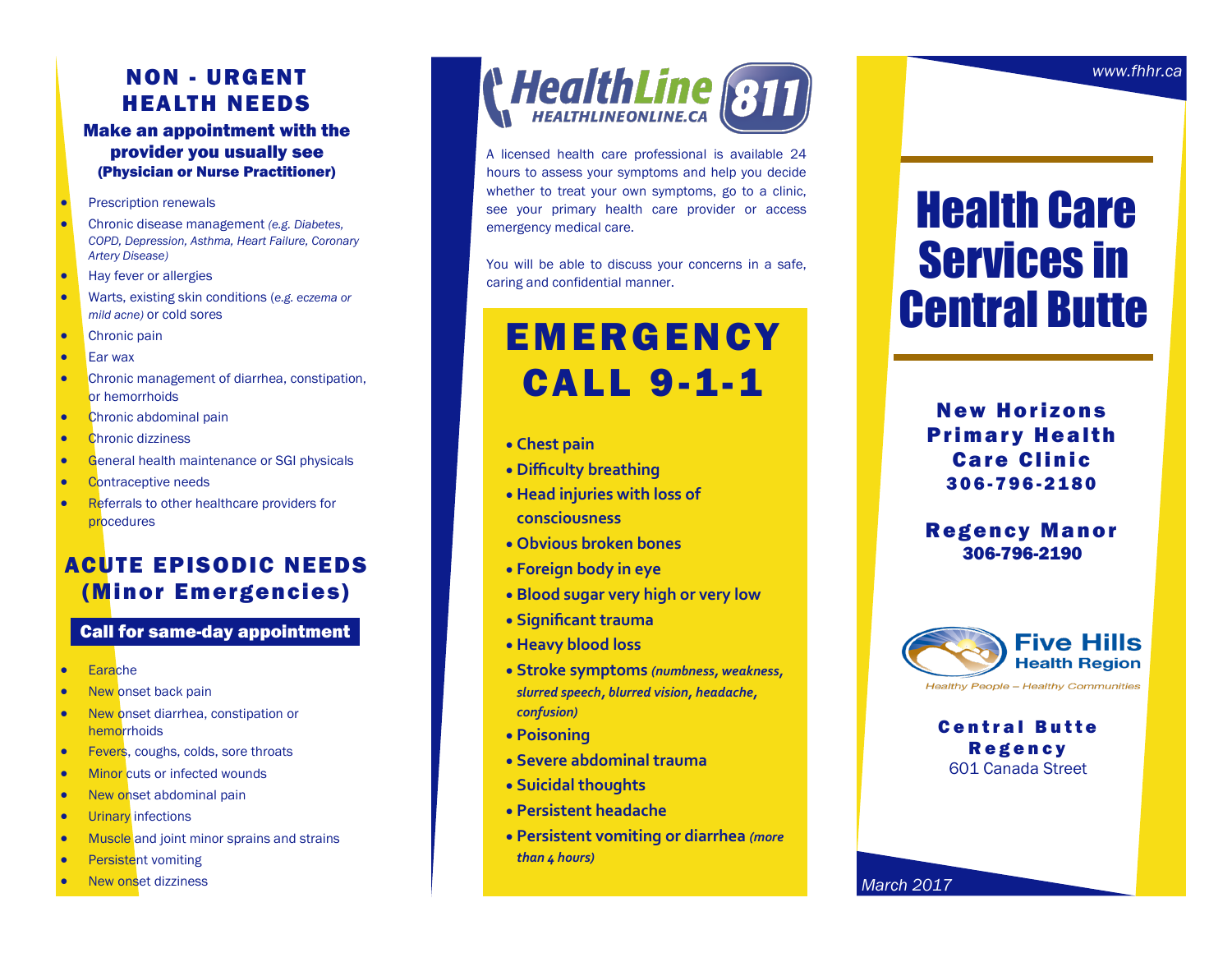## NON - URGENT HEALTH NEEDS

#### Make an appointment with the provider you usually see (Physician or Nurse Practitioner)

- Prescription renewals
- Chronic disease management *(e.g. Diabetes, COPD, Depression, Asthma, Heart Failure, Coronary Artery Disease)*
- Hay fever or allergies
- Warts, existing skin conditions (*e.g. eczema or mild acne)* or cold sores
- Chronic pain
- Ear wax
- Chronic management of diarrhea, constipation, or hemorrhoids
- Chronic abdominal pain
- Chronic dizziness
- **General health maintenance or SGI physicals**
- Contraceptive needs
- Referrals to other healthcare providers for procedures

## ACUTE EPISODIC NEEDS (Minor Emergencies)

## Call for same-day appointment

- Earache
- New onset back pain
- New onset diarrhea, constipation or hemorrhoids
- Fevers, coughs, colds, sore throats
- Minor cuts or infected wounds
- New onset abdominal pain
- **•** Urinary infections
- Muscle and joint minor sprains and strains
- Persistent vomiting
- New onset dizziness



A licensed health care professional is available 24 hours to assess your symptoms and help you decide whether to treat your own symptoms, go to a clinic, see your primary health care provider or access emergency medical care.

You will be able to discuss your concerns in a safe, caring and confidential manner.

## **EMERGENCY** CALL 9-1-1

- **Chest pain**
- **Difficulty breathing**
- **Head injuries with loss of consciousness**
- **Obvious broken bones**
- **Foreign body in eye**
- **Blood sugar very high or very low**
- **Significant trauma**
- **Heavy blood loss**
- **Stroke symptoms** *(numbness, weakness, slurred speech, blurred vision, headache, confusion)*
- **Poisoning**
- **Severe abdominal trauma**
- **Suicidal thoughts**
- **Persistent headache**
- **Persistent vomiting or diarrhea** *(more than 4 hours)*

# Health Care Services in Central Butte

**New Horizons Primary Health Care Clinic** 3 0 6 -796 -2180

### **Regency Manor** 306-796-2190



**Central Butte Regency** 601 Canada Street

*March 2017*

*www.fhhr.ca*